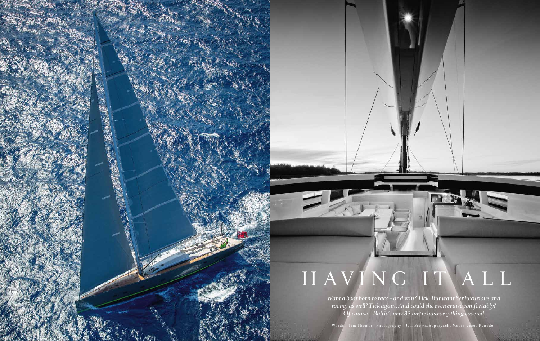

## H AVING IT ALL

*Want a boat born to race – and win? Tick. But want her luxurious and roomy as well? Tick again. And could she even cruise comfortably? Of course – Baltic's new 33 metre has everything covered*

Words - Tim Thomas Photography - Jeff Brown/Superyacht Media; Jesús Renedo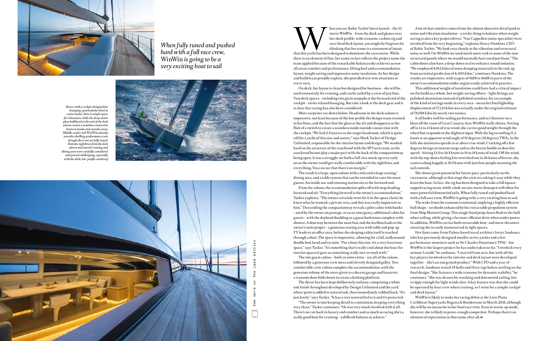that this yacht has been designed to dominate the racecourse. While that this yacht has been designed to dominate the racecourse. While metre *WinWin* – from the dock and glance over her sleek profile, wide transom, carbon rig and race-bred deck layout, you might be forgiven for thinking that her name is a statement of intent, there is an element of that, her name in fact reflects the project name the team applied because of the remarkable balances she achieves across all areas: comfort and performance, lifting keel and accommodation layout, weight saving and impressive noise insulation. As her design and build team proudly explain, she provided win-win situations at

impressive, not least because of the low profile the design team retained in her lines, and the fact that the glass at the aft end disappears at the flick of a switch to create a seamless inside/outside connection with the cockpit. "We had 2.5 metres as the target headroom, which is quite tall for a yacht of this size and nature," says Mark Tucker of Design Unlimited, responsible for the interior layout and design. "We worked hard on the structure of the coachroof with the SP Gurit team, as the coachroof beams play a major part with the back of the companionway being open. It was a struggle: we built a full-size mock-up very early on so the owner could get really comfortable with the sightlines and everything. You can see that there's no margin."

The result is a large, open saloon with a sofa and a large seating/ dining area, and a table system that can be extended to cater for more guests. An inside nav and conning station sits at the forward end. From the saloon, the accommodation splits off with steps leading forward and aft. "Everything forward is the owner's accommodation," Tucker explains. "The owner certainly went for it in the space claim: he knew what he wanted, a private area, and this was really important to him." Descending the companionway reveals a pilot cabin with bunks – used by the owner on passage, or as an emergency additional cabin for guests – with the dayhead doubling as a guest bathroom complete with shower. A doorway between the mast foot and the keelbox leads to the owner's suite proper – a generous seating area with table and pop-up TV leads to an office area, before the sleeping cabin itself is reached through a door. The space is impressive, allowing for a full, walkaround double bed, head and en suite. "For a boat this size, it's a very luxurious space," says Tucker. "It's something that's really cool about the boat: for interior spaces it gave us something really nice to work with."

every turn. On deck, her layout is clean but designed for business – she will be used extensively for cruising, and can be sailed by a crew of just four. Vast deck spaces – including two giant sunpads at the forward end of the cockpit – invite relaxed lounging. But take a look at the deck gear and it is clear that racing has also been considered. More surprises are down below. Headroom in the deck saloon is This additional weight of insulation could have had a critical impact on the build as a whole, but weight-saving efforts – light fittings are polished aluminium instead of polished stainless, for an example of the kind of savings made in every area – mean her final lightship displacement of 77,123 kilos was actually under the original estimate of 78,958 kilos by nearly two tonnes.

The two guest cabins – both en suite twins – are aft of the saloon, followed by a generous crew mess and cleverly designed galley. Two comfortable crew cabins complete the accommodation, with the generous volume of the stern given to a decent garage and lazarette; a transom door folds down to create a bathing platform.

The décor has been kept deliberately unfussy, comprising a white

oak finish throughout developed by Design Unlimited and the yard, where paint is added to natural oak, then immediately rubbed back. "It's just lovely," says Tucker. "It has a very natural feel to it and it's protected. "The owner is into keeping detail to a minimum, keeping everything very clean," Tucker continues. "He was very much involved with it all. There's no cut-back in luxury and comfort and as much as racing she's a really good boat for cruising – a difficult balance to achieve."

See more on the ipad editioneditio ipad the more See

A lot of that comfort comes from the almost obsessive detail paid to noise and vibration insulation – a tricky thing to balance when weight saving is also a key project driver. "Van Cappellen (noise specialist) were involved from the very beginning," explains Henry Hawkins, CEO of Baltic Yachts. "We look very closely at the vibration and structural noise as well. On *WinWin* we used much more cork in some of the nonstructural panels where we would normally have used just foam." The cabin doors also have a drop-down seal to enhance sound isolation. "We employed 4,912 kilos of noise damping materials in the end, up from an initial prediction of 4,300 kilos," continues Hawkins. The results are impressive, with targets of 51dB to 56dB in parts of the owner's accommodation under engine easily achieved in practice.

It all bodes well for sailing performance, and as I discover on a blast off the coast of Gran Canaria, here *WinWin* really shines. Setting off in 12 to 13 knots of true wind, she carries good weight through the wheel but responds to the slightest input. With the log recording 11.2 knots at an apparent wind angle of 19 degrees (35 degrees TWA), in the lulls she maintains speeds at or above true wind. Cracking off a few degrees brings an instant surge and as the breeze builds so does her speed – hitting 13.5 to 14.5 knots in 16 to 18 knots of wind. Off the wind, with the top-down furling kite stretched out in 26 knots of breeze, she canters along happily at 18.5 knots with just four people manning the sail controls.

She shows great potential for future pace, particularly on the racecourse, although at this stage the crew are taking it easy while they learn the boat. In fact, the rig has been designed to take a full squaretopped racing main, while a bolt-on two-metre bowsprit will allow for more powerful downwind sails. When fully tuned and pushed hard with a full race crew, *WinWin* is going to be a very exciting boat to sail.

The wake from the transom is minimal, implying a highly efficient hull shape – no doubt enhanced by her retractable propulsion system from Ship Motion Group. This single fixed prop closes flush to the hull when sailing, while giving a far more efficient drive when under power. In addition, *WinWin* carries both retractable bow- and stern-thrusters ensuring she is easily manoeuvred in tight spaces.

Her lines come from Palma-based naval architect Javier Jaudenes, who has previously designed smaller series yachts and a few performance monsters such as Sir Charles Dunstone's TP52 – but *WinWin* is the largest project he has undertaken so far. "I worked every minute I could," he enthuses. "I started from zero, but with all the key players involved so the interior and deck layout were developed together – she's an integrated product." With CFD and a year of research, Jaudenes tested 35 hulls and three rigs before settling on the final design. "She features a wide transom for dynamic stability," he continues. "She was drawn for reaching and downwind sailing, but is tippy enough for light winds also. A key feature was that she could be operated by four crew when cruising, so I went for a simple cockpit and deck layout."

*WinWin* is likely to make her racing debut at the Loro Piana Caribbean Superyacht Regatta & Rendezvous in March 2015, although she will by no means be in her final race trim. Even in warm-up mode, however, she is likely to prove a tough competitor. Perhaps there's an element of expectation in that name after all. **B**



*Above: with a cockpit designed for lounging (particularly when in cruise mode), there is ample space for relaxation, while the drop-down glass bulkhead at the end of the deck saloon creates a seamless connection between inside and outside areas. Middle: under sail* WinWin *already provides thrilling performance even though she is not yet fully tuned. Bottom: sightlines from the deck saloon and interior seating and dining area were carefully considered and proved challenging, especially with the sleek, low-profile coachroof*





*When fully tuned and pushed hard with a full race crew,*  WinWin *is going to be a very exciting boat to sail*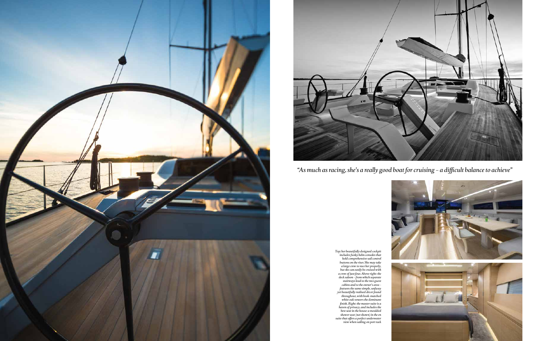*"As much as racing, she's a really good boat for cruising – a difficult balance to achieve"*







*Top: her beautifully designed cockpit includes funky helm consoles that hold comprehensive sail control buttons on the riser. She may take a large crew to race her properly, but she can easily be cruised with a crew of just four. Above right: the deck saloon – from which separate stairways lead to the two guest cabins and to the owner's area – features the same simple, unfussy yet beautifully realised décor found throughout, with book-matched white oak veneers the dominant finish. Right: the master suite is a haven of privacy, and includes the best seat in the house: a moulded shower seat (not shown) in the en suite that offers a perfect underwater view when sailing on port tack*